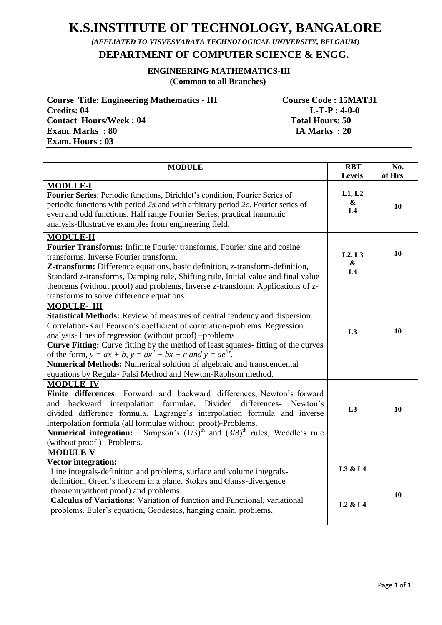# **K.S.INSTITUTE OF TECHNOLOGY, BANGALORE**

 *(AFFLIATED TO VISVESVARAYA TECHNOLOGICAL UNIVERSITY, BELGAUM)*

 **DEPARTMENT OF COMPUTER SCIENCE & ENGG.**

# **ENGINEERING MATHEMATICS-III (Common to all Branches)**

| <b>Course Title: Engineering Mathematics - III</b> | Course Code : 15MAT31  |
|----------------------------------------------------|------------------------|
| Credits: 04                                        | $L-T-P: 4-0-0$         |
| <b>Contact Hours/Week: 04</b>                      | <b>Total Hours: 50</b> |
| <b>Exam. Marks</b> : 80                            | IA Marks: 20           |
| <b>Exam. Hours: 03</b>                             |                        |

| <b>MODULE</b>                                                                                                                                                                                                                                                                                                                                                                                                                                                                                                                                  | <b>RBT</b><br>Levels                          | No.<br>of Hrs |
|------------------------------------------------------------------------------------------------------------------------------------------------------------------------------------------------------------------------------------------------------------------------------------------------------------------------------------------------------------------------------------------------------------------------------------------------------------------------------------------------------------------------------------------------|-----------------------------------------------|---------------|
| <b>MODULE-I</b><br>Fourier Series: Periodic functions, Dirichlet's condition, Fourier Series of<br>periodic functions with period $2\pi$ and with arbitrary period 2c. Fourier series of<br>even and odd functions. Half range Fourier Series, practical harmonic<br>analysis-Illustrative examples from engineering field.                                                                                                                                                                                                                    | L1, L2<br>$\boldsymbol{\&}$<br>L <sub>4</sub> | 10            |
| <b>MODULE-II</b><br>Fourier Transforms: Infinite Fourier transforms, Fourier sine and cosine<br>transforms. Inverse Fourier transform.<br>Z-transform: Difference equations, basic definition, z-transform-definition,<br>Standard z-transforms, Damping rule, Shifting rule, Initial value and final value<br>theorems (without proof) and problems, Inverse z-transform. Applications of z-<br>transforms to solve difference equations.                                                                                                     | L2, L3<br>$\boldsymbol{\&}$<br>L4             | 10            |
| <b>MODULE-III</b><br>Statistical Methods: Review of measures of central tendency and dispersion.<br>Correlation-Karl Pearson's coefficient of correlation-problems. Regression<br>analysis-lines of regression (without proof) -problems<br>Curve Fitting: Curve fitting by the method of least squares- fitting of the curves<br>of the form, $y = ax + b$ , $y = ax^2 + bx + c$ and $y = ae^{bx}$ .<br>Numerical Methods: Numerical solution of algebraic and transcendental<br>equations by Regula- Falsi Method and Newton-Raphson method. | L <sub>3</sub>                                | 10            |
| <b>MODULE IV</b><br>Finite differences: Forward and backward differences, Newton's forward<br>interpolation formulae. Divided differences- Newton's<br>backward<br>and<br>divided difference formula. Lagrange's interpolation formula and inverse<br>interpolation formula (all formulae without proof)-Problems.<br><b>Numerical integration:</b> : Simpson's $(1/3)^{th}$ and $(3/8)^{th}$ rules, Weddle's rule<br>(without proof) -Problems.                                                                                               | L3                                            | 10            |
| <b>MODULE-V</b><br><b>Vector integration:</b><br>Line integrals-definition and problems, surface and volume integrals-<br>definition, Green's theorem in a plane, Stokes and Gauss-divergence<br>theorem(without proof) and problems.<br>Calculus of Variations: Variation of function and Functional, variational<br>problems. Euler's equation, Geodesics, hanging chain, problems.                                                                                                                                                          | L3 & L4<br>L <sub>2</sub> & L <sub>4</sub>    | 10            |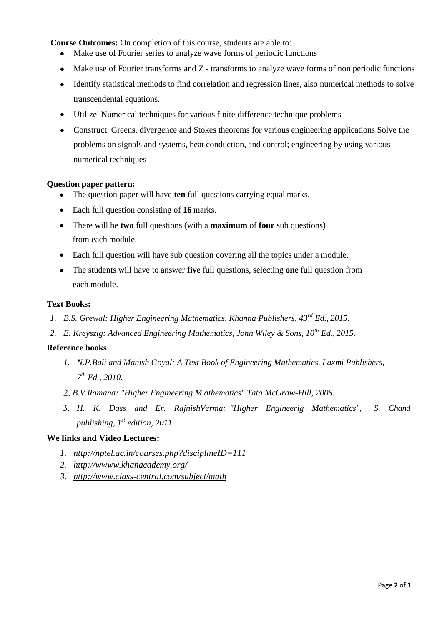**Course Outcomes:** On completion of this course, students are able to:

- Make use of Fourier series to analyze wave forms of periodic functions  $\bullet$
- Make use of Fourier transforms and Z transforms to analyze wave forms of non periodic functions
- Identify statistical methods to find correlation and regression lines, also numerical methods to solve transcendental equations.
- Utilize Numerical techniques for various finite difference technique problems
- Construct Greens, divergence and Stokes theorems for various engineering applications Solve the  $\bullet$ problems on signals and systems, heat conduction, and control; engineering by using various numerical techniques

### **Question paper pattern:**

- The question paper will have **ten** full questions carrying equal marks.
- Each full question consisting of **16** marks.
- There will be **two** full questions (with a **maximum** of **four** sub questions) from each module.
- Each full question will have sub question covering all the topics under a module.
- The students will have to answer **five** full questions, selecting **one** full question from each module.

### **Text Books:**

- *1. B.S. Grewal: Higher Engineering Mathematics, Khanna Publishers, 43rd Ed., 2015.*
- *2. E. Kreyszig: Advanced Engineering Mathematics, John Wiley & Sons, 10th Ed., 2015.*

# **Reference books**:

- *1. N.P.Bali and Manish Goyal: A Text Book of Engineering Mathematics, Laxmi Publishers, 7 th Ed., 2010.*
- *B.V.Ramana: "Higher Engineering M athematics" Tata McGraw-Hill, 2006.*
- *H. K. Dass and Er. RajnishVerma: "Higher Engineerig Mathematics", S. Chand publishing, 1st edition, 2011.*

# **We links and Video Lectures:**

- *1. <http://nptel.ac.in/courses.php?disciplineID=111>*
- *2. <http://wwww.khanacademy.org/>*
- *3. <http://www.class-central.com/subject/math>*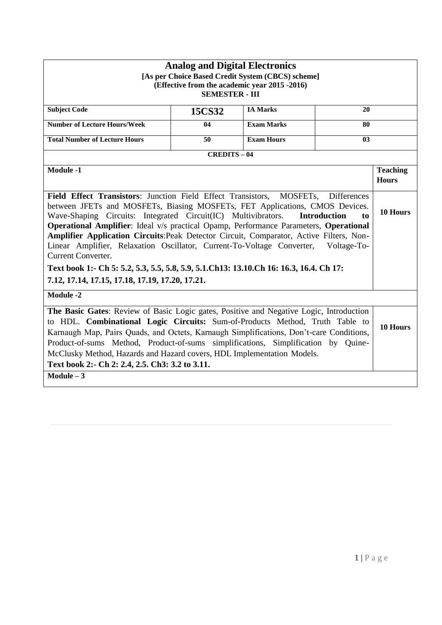| <b>Analog and Digital Electronics</b><br>[As per Choice Based Credit System (CBCS) scheme]<br>(Effective from the academic year 2015 -2016)<br><b>SEMESTER - III</b>                                                                                                                                                                                                                                                                                                                                                                                                                                                                                                                                                  |        |                   |    |                                 |  |
|-----------------------------------------------------------------------------------------------------------------------------------------------------------------------------------------------------------------------------------------------------------------------------------------------------------------------------------------------------------------------------------------------------------------------------------------------------------------------------------------------------------------------------------------------------------------------------------------------------------------------------------------------------------------------------------------------------------------------|--------|-------------------|----|---------------------------------|--|
| <b>Subject Code</b>                                                                                                                                                                                                                                                                                                                                                                                                                                                                                                                                                                                                                                                                                                   | 15CS32 | <b>IA Marks</b>   | 20 |                                 |  |
| <b>Number of Lecture Hours/Week</b><br><b>Exam Marks</b><br>04<br>80                                                                                                                                                                                                                                                                                                                                                                                                                                                                                                                                                                                                                                                  |        |                   |    |                                 |  |
| <b>Total Number of Lecture Hours</b>                                                                                                                                                                                                                                                                                                                                                                                                                                                                                                                                                                                                                                                                                  | 50     | <b>Exam Hours</b> | 03 |                                 |  |
| <b>CREDITS-04</b>                                                                                                                                                                                                                                                                                                                                                                                                                                                                                                                                                                                                                                                                                                     |        |                   |    |                                 |  |
| <b>Module -1</b>                                                                                                                                                                                                                                                                                                                                                                                                                                                                                                                                                                                                                                                                                                      |        |                   |    | <b>Teaching</b><br><b>Hours</b> |  |
| Field Effect Transistors: Junction Field Effect Transistors, MOSFETs, Differences<br>between JFETs and MOSFETs, Biasing MOSFETs, FET Applications, CMOS Devices.<br>Wave-Shaping Circuits: Integrated Circuit(IC) Multivibrators.<br><b>Introduction</b><br>to<br>Operational Amplifier: Ideal v/s practical Opamp, Performance Parameters, Operational<br>Amplifier Application Circuits: Peak Detector Circuit, Comparator, Active Filters, Non-<br>Linear Amplifier, Relaxation Oscillator, Current-To-Voltage Converter,<br>Voltage-To-<br><b>Current Converter.</b><br>Text book 1:- Ch 5: 5.2, 5.3, 5.5, 5.8, 5.9, 5.1.Ch13: 13.10.Ch 16: 16.3, 16.4. Ch 17:<br>7.12, 17.14, 17.15, 17.18, 17.19, 17.20, 17.21. |        |                   |    | 10 Hours                        |  |
| <b>Module -2</b>                                                                                                                                                                                                                                                                                                                                                                                                                                                                                                                                                                                                                                                                                                      |        |                   |    |                                 |  |
| The Basic Gates: Review of Basic Logic gates, Positive and Negative Logic, Introduction<br>to HDL. Combinational Logic Circuits: Sum-of-Products Method, Truth Table to<br>Karnaugh Map, Pairs Quads, and Octets, Karnaugh Simplifications, Don't-care Conditions,<br>Product-of-sums Method, Product-of-sums simplifications, Simplification by Quine-<br>McClusky Method, Hazards and Hazard covers, HDL Implementation Models.                                                                                                                                                                                                                                                                                     |        |                   |    | 10 Hours                        |  |
| Text book 2:- Ch 2: 2.4, 2.5. Ch3: 3.2 to 3.11.<br>$Module - 3$                                                                                                                                                                                                                                                                                                                                                                                                                                                                                                                                                                                                                                                       |        |                   |    |                                 |  |
|                                                                                                                                                                                                                                                                                                                                                                                                                                                                                                                                                                                                                                                                                                                       |        |                   |    |                                 |  |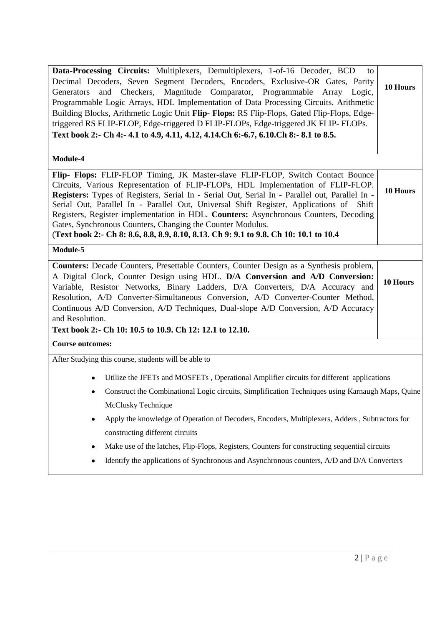| Data-Processing Circuits: Multiplexers, Demultiplexers, 1-of-16 Decoder, BCD<br>to<br>Decimal Decoders, Seven Segment Decoders, Encoders, Exclusive-OR Gates, Parity<br>and Checkers, Magnitude Comparator, Programmable Array Logic,<br>Generators<br>Programmable Logic Arrays, HDL Implementation of Data Processing Circuits. Arithmetic<br>Building Blocks, Arithmetic Logic Unit Flip-Flops: RS Flip-Flops, Gated Flip-Flops, Edge-<br>triggered RS FLIP-FLOP, Edge-triggered D FLIP-FLOPs, Edge-triggered JK FLIP-FLOPs.<br>Text book 2:- Ch 4:- 4.1 to 4.9, 4.11, 4.12, 4.14. Ch 6:-6.7, 6.10. Ch 8:- 8.1 to 8.5.<br>Module-4 | 10 Hours |
|---------------------------------------------------------------------------------------------------------------------------------------------------------------------------------------------------------------------------------------------------------------------------------------------------------------------------------------------------------------------------------------------------------------------------------------------------------------------------------------------------------------------------------------------------------------------------------------------------------------------------------------|----------|
|                                                                                                                                                                                                                                                                                                                                                                                                                                                                                                                                                                                                                                       |          |
| Flip- Flops: FLIP-FLOP Timing, JK Master-slave FLIP-FLOP, Switch Contact Bounce<br>Circuits, Various Representation of FLIP-FLOPs, HDL Implementation of FLIP-FLOP.<br>Registers: Types of Registers, Serial In - Serial Out, Serial In - Parallel out, Parallel In -<br>Serial Out, Parallel In - Parallel Out, Universal Shift Register, Applications of Shift<br>Registers, Register implementation in HDL. Counters: Asynchronous Counters, Decoding<br>Gates, Synchronous Counters, Changing the Counter Modulus.<br>(Text book 2:- Ch 8: 8.6, 8.8, 8.9, 8.10, 8.13. Ch 9: 9.1 to 9.8. Ch 10: 10.1 to 10.4                       | 10 Hours |
| Module-5                                                                                                                                                                                                                                                                                                                                                                                                                                                                                                                                                                                                                              |          |
| <b>Counters:</b> Decade Counters, Presettable Counters, Counter Design as a Synthesis problem,<br>A Digital Clock, Counter Design using HDL. D/A Conversion and A/D Conversion:<br>Variable, Resistor Networks, Binary Ladders, D/A Converters, D/A Accuracy and<br>Resolution, A/D Converter-Simultaneous Conversion, A/D Converter-Counter Method,<br>Continuous A/D Conversion, A/D Techniques, Dual-slope A/D Conversion, A/D Accuracy<br>and Resolution.<br>Text book 2:- Ch 10: 10.5 to 10.9. Ch 12: 12.1 to 12.10.                                                                                                             | 10 Hours |
| <b>Course outcomes:</b>                                                                                                                                                                                                                                                                                                                                                                                                                                                                                                                                                                                                               |          |
|                                                                                                                                                                                                                                                                                                                                                                                                                                                                                                                                                                                                                                       |          |
| After Studying this course, students will be able to                                                                                                                                                                                                                                                                                                                                                                                                                                                                                                                                                                                  |          |
| Utilize the JFETs and MOSFETs, Operational Amplifier circuits for different applications<br>Construct the Combinational Logic circuits, Simplification Techniques using Karnaugh Maps, Quine<br>McClusky Technique<br>Apply the knowledge of Operation of Decoders, Encoders, Multiplexers, Adders, Subtractors for<br>٠<br>constructing different circuits<br>Make use of the latches, Flip-Flops, Registers, Counters for constructing sequential circuits<br>٠                                                                                                                                                                     |          |
| Identify the applications of Synchronous and Asynchronous counters, A/D and D/A Converters                                                                                                                                                                                                                                                                                                                                                                                                                                                                                                                                            |          |
|                                                                                                                                                                                                                                                                                                                                                                                                                                                                                                                                                                                                                                       |          |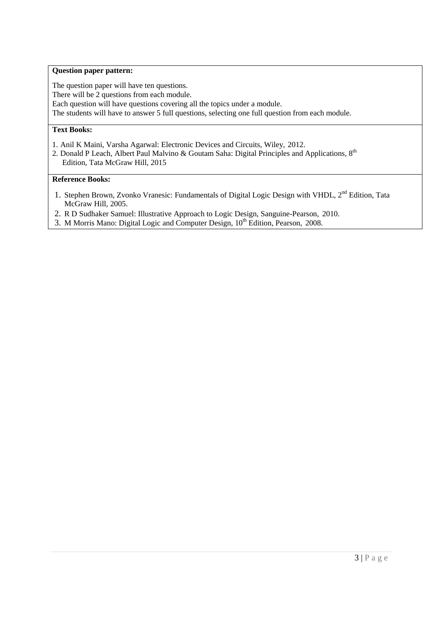# **Question paper pattern:**

The question paper will have ten questions. There will be 2 questions from each module. Each question will have questions covering all the topics under a module. The students will have to answer 5 full questions, selecting one full question from each module.

# **Text Books:**

- 1. Anil K Maini, Varsha Agarwal: Electronic Devices and Circuits, Wiley, 2012.
- 2. Donald P Leach, Albert Paul Malvino & Goutam Saha: Digital Principles and Applications, 8<sup>th</sup> Edition, Tata McGraw Hill, 2015

#### **Reference Books:**

- 1. Stephen Brown, Zvonko Vranesic: Fundamentals of Digital Logic Design with VHDL, 2<sup>nd</sup> Edition, Tata McGraw Hill, 2005.
- 2. R D Sudhaker Samuel: Illustrative Approach to Logic Design, Sanguine-Pearson, 2010.
- 3. M Morris Mano: Digital Logic and Computer Design,  $10^{th}$  Edition, Pearson, 2008.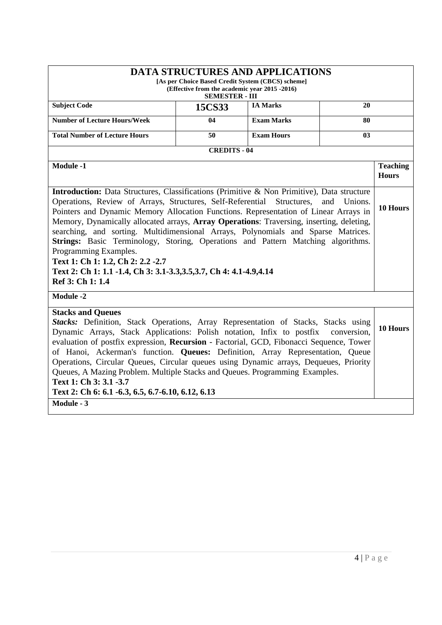|                                                                                                                                                                                                                                                                                                                                                                                                                                                                                                                                                                                                                                                                                       | [As per Choice Based Credit System (CBCS) scheme]<br>(Effective from the academic year 2015 -2016)<br><b>SEMESTER - III</b> | <b>DATA STRUCTURES AND APPLICATIONS</b> |                |                                 |
|---------------------------------------------------------------------------------------------------------------------------------------------------------------------------------------------------------------------------------------------------------------------------------------------------------------------------------------------------------------------------------------------------------------------------------------------------------------------------------------------------------------------------------------------------------------------------------------------------------------------------------------------------------------------------------------|-----------------------------------------------------------------------------------------------------------------------------|-----------------------------------------|----------------|---------------------------------|
| <b>Subject Code</b>                                                                                                                                                                                                                                                                                                                                                                                                                                                                                                                                                                                                                                                                   | 15CS33                                                                                                                      | <b>IA Marks</b>                         | 20             |                                 |
| <b>Number of Lecture Hours/Week</b>                                                                                                                                                                                                                                                                                                                                                                                                                                                                                                                                                                                                                                                   | 04                                                                                                                          | <b>Exam Marks</b>                       | 80             |                                 |
| <b>Total Number of Lecture Hours</b>                                                                                                                                                                                                                                                                                                                                                                                                                                                                                                                                                                                                                                                  | 50                                                                                                                          | <b>Exam Hours</b>                       | 03             |                                 |
|                                                                                                                                                                                                                                                                                                                                                                                                                                                                                                                                                                                                                                                                                       | <b>CREDITS - 04</b>                                                                                                         |                                         |                |                                 |
| Module -1                                                                                                                                                                                                                                                                                                                                                                                                                                                                                                                                                                                                                                                                             |                                                                                                                             |                                         |                | <b>Teaching</b><br><b>Hours</b> |
| <b>Introduction:</b> Data Structures, Classifications (Primitive & Non Primitive), Data structure<br>Operations, Review of Arrays, Structures, Self-Referential Structures,<br>Pointers and Dynamic Memory Allocation Functions. Representation of Linear Arrays in<br>Memory, Dynamically allocated arrays, Array Operations: Traversing, inserting, deleting,<br>searching, and sorting. Multidimensional Arrays, Polynomials and Sparse Matrices.<br><b>Strings:</b> Basic Terminology, Storing, Operations and Pattern Matching algorithms.<br>Programming Examples.<br>Text 1: Ch 1: 1.2, Ch 2: 2.2 -2.7<br>Text 2: Ch 1: 1.1 -1.4, Ch 3: 3.1-3.3, 3.5, 3.7, Ch 4: 4.1-4.9, 4.14 |                                                                                                                             |                                         | and<br>Unions. | 10 Hours                        |
| Ref 3: Ch 1: 1.4                                                                                                                                                                                                                                                                                                                                                                                                                                                                                                                                                                                                                                                                      |                                                                                                                             |                                         |                |                                 |
| <b>Module -2</b>                                                                                                                                                                                                                                                                                                                                                                                                                                                                                                                                                                                                                                                                      |                                                                                                                             |                                         |                |                                 |
| <b>Stacks and Queues</b><br>Stacks: Definition, Stack Operations, Array Representation of Stacks, Stacks using<br>Dynamic Arrays, Stack Applications: Polish notation, Infix to postfix<br>evaluation of postfix expression, Recursion - Factorial, GCD, Fibonacci Sequence, Tower<br>of Hanoi, Ackerman's function. Queues: Definition, Array Representation, Queue<br>Operations, Circular Queues, Circular queues using Dynamic arrays, Dequeues, Priority                                                                                                                                                                                                                         |                                                                                                                             |                                         | conversion,    | 10 Hours                        |
| Queues, A Mazing Problem. Multiple Stacks and Queues. Programming Examples.<br>Text 1: Ch 3: 3.1 -3.7<br>Text 2: Ch 6: 6.1 - 6.3, 6.5, 6.7 - 6.10, 6.12, 6.13                                                                                                                                                                                                                                                                                                                                                                                                                                                                                                                         |                                                                                                                             |                                         |                |                                 |
| Module - 3                                                                                                                                                                                                                                                                                                                                                                                                                                                                                                                                                                                                                                                                            |                                                                                                                             |                                         |                |                                 |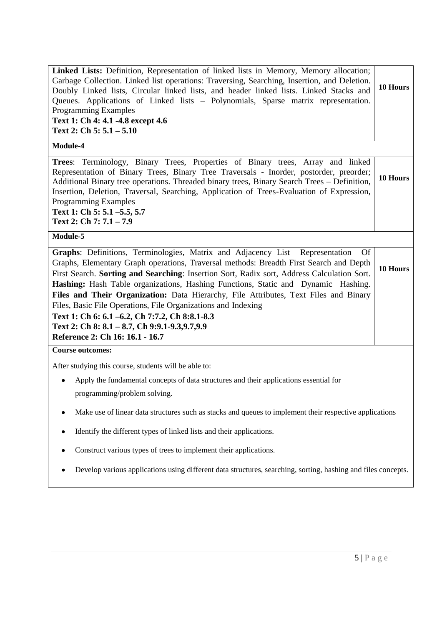| Module-4<br>Trees: Terminology, Binary Trees, Properties of Binary trees, Array and linked<br>Representation of Binary Trees, Binary Tree Traversals - Inorder, postorder, preorder;<br>Additional Binary tree operations. Threaded binary trees, Binary Search Trees - Definition,<br>Insertion, Deletion, Traversal, Searching, Application of Trees-Evaluation of Expression,<br><b>Programming Examples</b><br>Text 1: Ch 5: 5.1 -5.5, 5.7<br>Text 2: Ch 7: 7.1 - 7.9<br>Module-5<br>Graphs: Definitions, Terminologies, Matrix and Adjacency List Representation<br><b>Of</b><br>Graphs, Elementary Graph operations, Traversal methods: Breadth First Search and Depth<br>First Search. Sorting and Searching: Insertion Sort, Radix sort, Address Calculation Sort.<br>Hashing: Hash Table organizations, Hashing Functions, Static and Dynamic Hashing.<br>Files and Their Organization: Data Hierarchy, File Attributes, Text Files and Binary<br>Files, Basic File Operations, File Organizations and Indexing | 10 Hours |  |
|--------------------------------------------------------------------------------------------------------------------------------------------------------------------------------------------------------------------------------------------------------------------------------------------------------------------------------------------------------------------------------------------------------------------------------------------------------------------------------------------------------------------------------------------------------------------------------------------------------------------------------------------------------------------------------------------------------------------------------------------------------------------------------------------------------------------------------------------------------------------------------------------------------------------------------------------------------------------------------------------------------------------------|----------|--|
|                                                                                                                                                                                                                                                                                                                                                                                                                                                                                                                                                                                                                                                                                                                                                                                                                                                                                                                                                                                                                          |          |  |
|                                                                                                                                                                                                                                                                                                                                                                                                                                                                                                                                                                                                                                                                                                                                                                                                                                                                                                                                                                                                                          |          |  |
|                                                                                                                                                                                                                                                                                                                                                                                                                                                                                                                                                                                                                                                                                                                                                                                                                                                                                                                                                                                                                          |          |  |
|                                                                                                                                                                                                                                                                                                                                                                                                                                                                                                                                                                                                                                                                                                                                                                                                                                                                                                                                                                                                                          |          |  |
|                                                                                                                                                                                                                                                                                                                                                                                                                                                                                                                                                                                                                                                                                                                                                                                                                                                                                                                                                                                                                          | 10 Hours |  |
| Text 1: Ch 6: 6.1 -6.2, Ch 7:7.2, Ch 8:8.1-8.3<br>Text 2: Ch 8: 8.1 - 8.7, Ch 9:9.1-9.3,9.7,9.9<br>Reference 2: Ch 16: 16.1 - 16.7                                                                                                                                                                                                                                                                                                                                                                                                                                                                                                                                                                                                                                                                                                                                                                                                                                                                                       |          |  |
| <b>Course outcomes:</b>                                                                                                                                                                                                                                                                                                                                                                                                                                                                                                                                                                                                                                                                                                                                                                                                                                                                                                                                                                                                  |          |  |
| After studying this course, students will be able to:<br>Apply the fundamental concepts of data structures and their applications essential for<br>programming/problem solving.                                                                                                                                                                                                                                                                                                                                                                                                                                                                                                                                                                                                                                                                                                                                                                                                                                          |          |  |
| Make use of linear data structures such as stacks and queues to implement their respective applications<br>٠                                                                                                                                                                                                                                                                                                                                                                                                                                                                                                                                                                                                                                                                                                                                                                                                                                                                                                             |          |  |
| Identify the different types of linked lists and their applications.                                                                                                                                                                                                                                                                                                                                                                                                                                                                                                                                                                                                                                                                                                                                                                                                                                                                                                                                                     |          |  |
| Construct various types of trees to implement their applications.                                                                                                                                                                                                                                                                                                                                                                                                                                                                                                                                                                                                                                                                                                                                                                                                                                                                                                                                                        |          |  |
| Develop various applications using different data structures, searching, sorting, hashing and files concepts.                                                                                                                                                                                                                                                                                                                                                                                                                                                                                                                                                                                                                                                                                                                                                                                                                                                                                                            |          |  |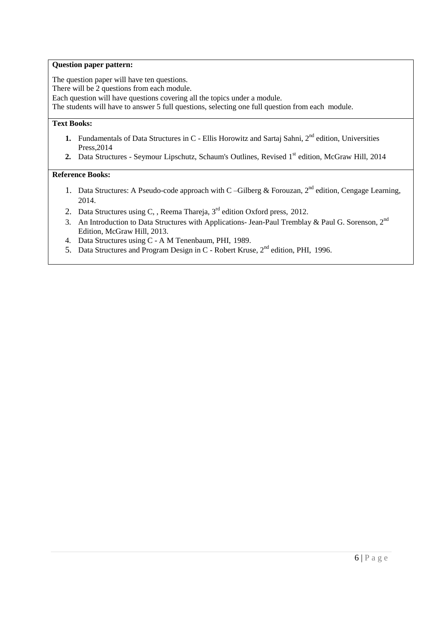### **Question paper pattern:**

The question paper will have ten questions.

There will be 2 questions from each module.

Each question will have questions covering all the topics under a module.

The students will have to answer 5 full questions, selecting one full question from each module.

# **Text Books:**

- **1.** Fundamentals of Data Structures in C Ellis Horowitz and Sartaj Sahni, 2<sup>nd</sup> edition, Universities Press,2014
- 2. Data Structures Seymour Lipschutz, Schaum's Outlines, Revised 1st edition, McGraw Hill, 2014

# **Reference Books:**

- 1. Data Structures: A Pseudo-code approach with C –Gilberg & Forouzan,  $2^{nd}$  edition, Cengage Learning, 2014.
- 2. Data Structures using C, , Reema Thareja,  $3<sup>rd</sup>$  edition Oxford press, 2012.
- 3. An Introduction to Data Structures with Applications- Jean-Paul Tremblay & Paul G. Sorenson, 2<sup>nd</sup> Edition, McGraw Hill, 2013.
- 4. Data Structures using C A M Tenenbaum, PHI, 1989.
- 5. Data Structures and Program Design in C Robert Kruse, 2<sup>nd</sup> edition, PHI, 1996.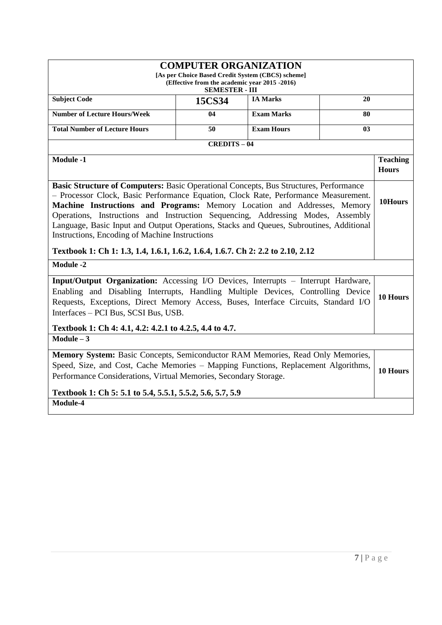| <b>COMPUTER ORGANIZATION</b><br>[As per Choice Based Credit System (CBCS) scheme]<br>(Effective from the academic year 2015 -2016)<br><b>SEMESTER - III</b>                                                                                                                                                                                                                                                                            |                   |                   |          |                                 |
|----------------------------------------------------------------------------------------------------------------------------------------------------------------------------------------------------------------------------------------------------------------------------------------------------------------------------------------------------------------------------------------------------------------------------------------|-------------------|-------------------|----------|---------------------------------|
| <b>Subject Code</b>                                                                                                                                                                                                                                                                                                                                                                                                                    | 15CS34            | <b>IA Marks</b>   | 20       |                                 |
| <b>Number of Lecture Hours/Week</b>                                                                                                                                                                                                                                                                                                                                                                                                    | 04                | <b>Exam Marks</b> | 80       |                                 |
| <b>Total Number of Lecture Hours</b>                                                                                                                                                                                                                                                                                                                                                                                                   | 50                | <b>Exam Hours</b> | 03       |                                 |
|                                                                                                                                                                                                                                                                                                                                                                                                                                        | <b>CREDITS-04</b> |                   |          |                                 |
| <b>Module -1</b>                                                                                                                                                                                                                                                                                                                                                                                                                       |                   |                   |          | <b>Teaching</b><br><b>Hours</b> |
| Basic Structure of Computers: Basic Operational Concepts, Bus Structures, Performance<br>- Processor Clock, Basic Performance Equation, Clock Rate, Performance Measurement.<br>Machine Instructions and Programs: Memory Location and Addresses, Memory<br>Operations, Instructions and Instruction Sequencing, Addressing Modes, Assembly<br>Language, Basic Input and Output Operations, Stacks and Queues, Subroutines, Additional |                   |                   | 10Hours  |                                 |
| Instructions, Encoding of Machine Instructions<br>Textbook 1: Ch 1: 1.3, 1.4, 1.6.1, 1.6.2, 1.6.4, 1.6.7. Ch 2: 2.2 to 2.10, 2.12                                                                                                                                                                                                                                                                                                      |                   |                   |          |                                 |
| <b>Module -2</b>                                                                                                                                                                                                                                                                                                                                                                                                                       |                   |                   |          |                                 |
| Input/Output Organization: Accessing I/O Devices, Interrupts - Interrupt Hardware,<br>Enabling and Disabling Interrupts, Handling Multiple Devices, Controlling Device<br>Requests, Exceptions, Direct Memory Access, Buses, Interface Circuits, Standard I/O<br>Interfaces - PCI Bus, SCSI Bus, USB.                                                                                                                                  |                   |                   | 10 Hours |                                 |
| Textbook 1: Ch 4: 4.1, 4.2: 4.2.1 to 4.2.5, 4.4 to 4.7.                                                                                                                                                                                                                                                                                                                                                                                |                   |                   |          |                                 |
| $Module - 3$                                                                                                                                                                                                                                                                                                                                                                                                                           |                   |                   |          |                                 |
| Memory System: Basic Concepts, Semiconductor RAM Memories, Read Only Memories,<br>Speed, Size, and Cost, Cache Memories - Mapping Functions, Replacement Algorithms,<br>Performance Considerations, Virtual Memories, Secondary Storage.                                                                                                                                                                                               |                   |                   |          | 10 Hours                        |
| Textbook 1: Ch 5: 5.1 to 5.4, 5.5.1, 5.5.2, 5.6, 5.7, 5.9<br>Module-4                                                                                                                                                                                                                                                                                                                                                                  |                   |                   |          |                                 |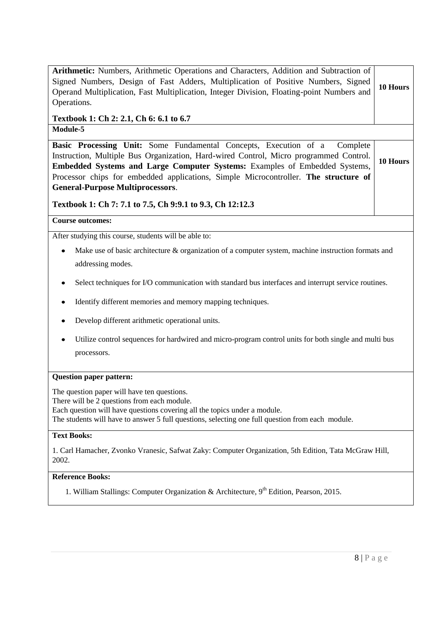| Arithmetic: Numbers, Arithmetic Operations and Characters, Addition and Subtraction of<br>Signed Numbers, Design of Fast Adders, Multiplication of Positive Numbers, Signed<br>Operand Multiplication, Fast Multiplication, Integer Division, Floating-point Numbers and<br>Operations.                                                                                               | 10 Hours |  |
|---------------------------------------------------------------------------------------------------------------------------------------------------------------------------------------------------------------------------------------------------------------------------------------------------------------------------------------------------------------------------------------|----------|--|
| Textbook 1: Ch 2: 2.1, Ch 6: 6.1 to 6.7<br>Module-5                                                                                                                                                                                                                                                                                                                                   |          |  |
| Basic Processing Unit: Some Fundamental Concepts, Execution of a<br>Complete<br>Instruction, Multiple Bus Organization, Hard-wired Control, Micro programmed Control.<br>Embedded Systems and Large Computer Systems: Examples of Embedded Systems,<br>Processor chips for embedded applications, Simple Microcontroller. The structure of<br><b>General-Purpose Multiprocessors.</b> | 10 Hours |  |
| Textbook 1: Ch 7: 7.1 to 7.5, Ch 9:9.1 to 9.3, Ch 12:12.3                                                                                                                                                                                                                                                                                                                             |          |  |
| <b>Course outcomes:</b>                                                                                                                                                                                                                                                                                                                                                               |          |  |
| After studying this course, students will be able to:                                                                                                                                                                                                                                                                                                                                 |          |  |
| Make use of basic architecture & organization of a computer system, machine instruction formats and<br>٠                                                                                                                                                                                                                                                                              |          |  |
| addressing modes.                                                                                                                                                                                                                                                                                                                                                                     |          |  |
| Select techniques for I/O communication with standard bus interfaces and interrupt service routines.                                                                                                                                                                                                                                                                                  |          |  |
| Identify different memories and memory mapping techniques.                                                                                                                                                                                                                                                                                                                            |          |  |
| Develop different arithmetic operational units.                                                                                                                                                                                                                                                                                                                                       |          |  |
| Utilize control sequences for hardwired and micro-program control units for both single and multi bus                                                                                                                                                                                                                                                                                 |          |  |
| processors.                                                                                                                                                                                                                                                                                                                                                                           |          |  |
| <b>Question paper pattern:</b>                                                                                                                                                                                                                                                                                                                                                        |          |  |
| The question paper will have ten questions.<br>There will be 2 questions from each module.<br>Each question will have questions covering all the topics under a module.<br>The students will have to answer 5 full questions, selecting one full question from each module.                                                                                                           |          |  |
| <b>Text Books:</b>                                                                                                                                                                                                                                                                                                                                                                    |          |  |
| 1. Carl Hamacher, Zvonko Vranesic, Safwat Zaky: Computer Organization, 5th Edition, Tata McGraw Hill,<br>2002.                                                                                                                                                                                                                                                                        |          |  |
| <b>Reference Books:</b>                                                                                                                                                                                                                                                                                                                                                               |          |  |
| 1. William Stallings: Computer Organization & Architecture, $9th$ Edition, Pearson, 2015.                                                                                                                                                                                                                                                                                             |          |  |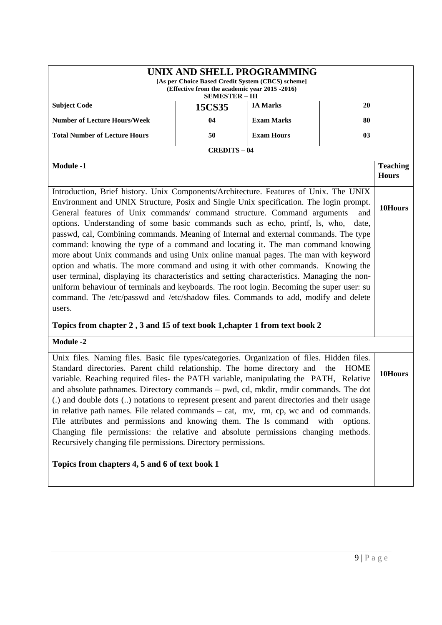| UNIX AND SHELL PROGRAMMING<br>[As per Choice Based Credit System (CBCS) scheme]<br>(Effective from the academic year 2015 -2016)<br><b>SEMESTER - III</b>                                                                                                                                                                                                                                                                                                                                                                                                                                                                  |                   |                   |                     |                                 |
|----------------------------------------------------------------------------------------------------------------------------------------------------------------------------------------------------------------------------------------------------------------------------------------------------------------------------------------------------------------------------------------------------------------------------------------------------------------------------------------------------------------------------------------------------------------------------------------------------------------------------|-------------------|-------------------|---------------------|---------------------------------|
| <b>Subject Code</b>                                                                                                                                                                                                                                                                                                                                                                                                                                                                                                                                                                                                        | 15CS35            | <b>IA Marks</b>   | 20                  |                                 |
| <b>Number of Lecture Hours/Week</b>                                                                                                                                                                                                                                                                                                                                                                                                                                                                                                                                                                                        | 04                | <b>Exam Marks</b> | $\overline{\bf 80}$ |                                 |
| <b>Total Number of Lecture Hours</b><br><b>Exam Hours</b><br>50<br>03                                                                                                                                                                                                                                                                                                                                                                                                                                                                                                                                                      |                   |                   |                     |                                 |
|                                                                                                                                                                                                                                                                                                                                                                                                                                                                                                                                                                                                                            | <b>CREDITS-04</b> |                   |                     |                                 |
| <b>Module -1</b>                                                                                                                                                                                                                                                                                                                                                                                                                                                                                                                                                                                                           |                   |                   |                     | <b>Teaching</b><br><b>Hours</b> |
| Introduction, Brief history. Unix Components/Architecture. Features of Unix. The UNIX<br>Environment and UNIX Structure, Posix and Single Unix specification. The login prompt.<br>General features of Unix commands/ command structure. Command arguments<br>and<br>options. Understanding of some basic commands such as echo, printf, ls, who,<br>date,<br>passwd, cal, Combining commands. Meaning of Internal and external commands. The type<br>command: knowing the type of a command and locating it. The man command knowing<br>more about Unix commands and using Unix online manual pages. The man with keyword |                   |                   |                     | 10Hours                         |
| option and whatis. The more command and using it with other commands. Knowing the<br>user terminal, displaying its characteristics and setting characteristics. Managing the non-<br>uniform behaviour of terminals and keyboards. The root login. Becoming the super user: su<br>command. The /etc/passwd and /etc/shadow files. Commands to add, modify and delete<br>users.                                                                                                                                                                                                                                             |                   |                   |                     |                                 |
| Topics from chapter 2, 3 and 15 of text book 1, chapter 1 from text book 2                                                                                                                                                                                                                                                                                                                                                                                                                                                                                                                                                 |                   |                   |                     |                                 |
| <b>Module -2</b>                                                                                                                                                                                                                                                                                                                                                                                                                                                                                                                                                                                                           |                   |                   |                     |                                 |
| Unix files. Naming files. Basic file types/categories. Organization of files. Hidden files.<br>Standard directories. Parent child relationship. The home directory and<br>variable. Reaching required files- the PATH variable, manipulating the PATH, Relative<br>and absolute pathnames. Directory commands – pwd, cd, mkdir, rmdir commands. The dot                                                                                                                                                                                                                                                                    |                   |                   | <b>HOME</b><br>the  | 10Hours                         |
| (.) and double dots () notations to represent present and parent directories and their usage<br>in relative path names. File related commands - cat, mv, rm, cp, wc and od commands.<br>File attributes and permissions and knowing them. The 1s command<br>with<br>options.<br>Changing file permissions: the relative and absolute permissions changing methods.<br>Recursively changing file permissions. Directory permissions.                                                                                                                                                                                        |                   |                   |                     |                                 |
| Topics from chapters 4, 5 and 6 of text book 1                                                                                                                                                                                                                                                                                                                                                                                                                                                                                                                                                                             |                   |                   |                     |                                 |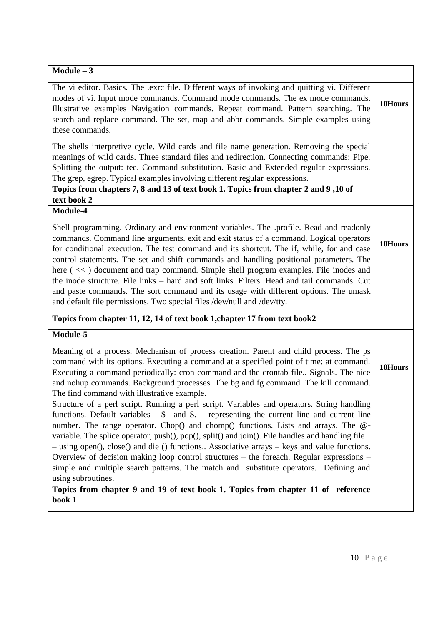| $Module - 3$                                                                                                                                                                                                                                                                                                                                                                                                                                                                                                                                                                     |         |
|----------------------------------------------------------------------------------------------------------------------------------------------------------------------------------------------------------------------------------------------------------------------------------------------------------------------------------------------------------------------------------------------------------------------------------------------------------------------------------------------------------------------------------------------------------------------------------|---------|
| The vi editor. Basics. The .exrc file. Different ways of invoking and quitting vi. Different<br>modes of vi. Input mode commands. Command mode commands. The ex mode commands.<br>Illustrative examples Navigation commands. Repeat command. Pattern searching. The<br>search and replace command. The set, map and abbr commands. Simple examples using<br>these commands.                                                                                                                                                                                                      | 10Hours |
| The shells interpretive cycle. Wild cards and file name generation. Removing the special<br>meanings of wild cards. Three standard files and redirection. Connecting commands: Pipe.<br>Splitting the output: tee. Command substitution. Basic and Extended regular expressions.<br>The grep, egrep. Typical examples involving different regular expressions.<br>Topics from chapters 7, 8 and 13 of text book 1. Topics from chapter 2 and 9,10 of<br>text book 2                                                                                                              |         |
| Module-4                                                                                                                                                                                                                                                                                                                                                                                                                                                                                                                                                                         |         |
| Shell programming. Ordinary and environment variables. The .profile. Read and readonly<br>commands. Command line arguments. exit and exit status of a command. Logical operators<br>for conditional execution. The test command and its shortcut. The if, while, for and case<br>control statements. The set and shift commands and handling positional parameters. The<br>here (<<) document and trap command. Simple shell program examples. File inodes and                                                                                                                   | 10Hours |
| the inode structure. File links - hard and soft links. Filters. Head and tail commands. Cut<br>and paste commands. The sort command and its usage with different options. The umask<br>and default file permissions. Two special files /dev/null and /dev/tty.                                                                                                                                                                                                                                                                                                                   |         |
| Topics from chapter 11, 12, 14 of text book 1, chapter 17 from text book2                                                                                                                                                                                                                                                                                                                                                                                                                                                                                                        |         |
| Module-5                                                                                                                                                                                                                                                                                                                                                                                                                                                                                                                                                                         |         |
| Meaning of a process. Mechanism of process creation. Parent and child process. The ps<br>command with its options. Executing a command at a specified point of time: at command.<br>Executing a command periodically: cron command and the crontab file Signals. The nice<br>and nohup commands. Background processes. The bg and fg command. The kill command.<br>The find command with illustrative example.                                                                                                                                                                   | 10Hours |
| Structure of a perl script. Running a perl script. Variables and operators. String handling<br>functions. Default variables $-$ \$ and \$. – representing the current line and current line<br>number. The range operator. Chop() and chomp() functions. Lists and arrays. The @-<br>variable. The splice operator, push(), pop(), split() and join(). File handles and handling file<br>- using open(), close() and die () functions Associative arrays - keys and value functions.<br>Overview of decision making loop control structures - the foreach. Regular expressions - |         |
| simple and multiple search patterns. The match and substitute operators. Defining and<br>using subroutines.<br>Topics from chapter 9 and 19 of text book 1. Topics from chapter 11 of reference<br>book 1                                                                                                                                                                                                                                                                                                                                                                        |         |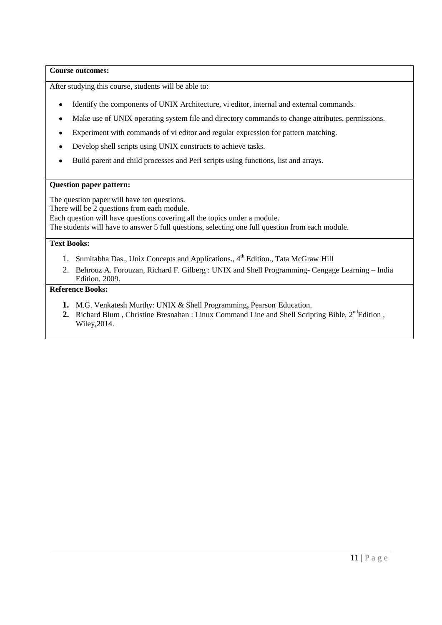### **Course outcomes:**

After studying this course, students will be able to:

- Identify the components of UNIX Architecture, vi editor, internal and external commands.
- Make use of UNIX operating system file and directory commands to change attributes, permissions.
- $\bullet$ Experiment with commands of vi editor and regular expression for pattern matching.
- Develop shell scripts using UNIX constructs to achieve tasks.  $\bullet$
- Build parent and child processes and Perl scripts using functions, list and arrays.  $\bullet$

### **Question paper pattern:**

The question paper will have ten questions.

There will be 2 questions from each module.

Each question will have questions covering all the topics under a module.

The students will have to answer 5 full questions, selecting one full question from each module.

### **Text Books:**

- 1. Sumitabha Das., Unix Concepts and Applications., 4<sup>th</sup> Edition., Tata McGraw Hill
- 2. Behrouz A. Forouzan, Richard F. Gilberg : UNIX and Shell Programming- Cengage Learning India Edition. 2009.

# **Reference Books:**

- **1.** M.G. Venkatesh Murthy: UNIX & Shell Programming**,** Pearson Education.
- **2.** Richard Blum, Christine Bresnahan : Linux Command Line and Shell Scripting Bible, 2<sup>nd</sup>Edition, Wiley,2014.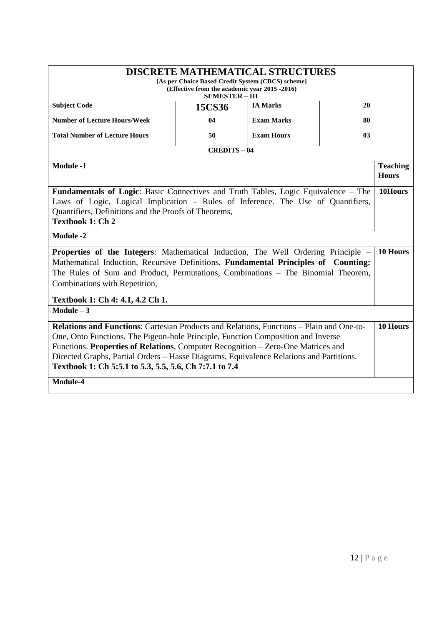|                                                                                                 |                       | <b>DISCRETE MATHEMATICAL STRUCTURES</b>           |    |                 |
|-------------------------------------------------------------------------------------------------|-----------------------|---------------------------------------------------|----|-----------------|
|                                                                                                 |                       | [As per Choice Based Credit System (CBCS) scheme] |    |                 |
| (Effective from the academic year 2015 -2016)                                                   |                       |                                                   |    |                 |
|                                                                                                 | <b>SEMESTER - III</b> |                                                   |    |                 |
| <b>Subject Code</b>                                                                             | 15CS36                | <b>IA Marks</b>                                   | 20 |                 |
| <b>Number of Lecture Hours/Week</b>                                                             | 04                    | <b>Exam Marks</b>                                 | 80 |                 |
| <b>Total Number of Lecture Hours</b><br><b>Exam Hours</b><br>50<br>0 <sub>3</sub>               |                       |                                                   |    |                 |
| <b>CREDITS-04</b>                                                                               |                       |                                                   |    |                 |
| <b>Module -1</b>                                                                                |                       |                                                   |    | <b>Teaching</b> |
|                                                                                                 |                       |                                                   |    | <b>Hours</b>    |
| Fundamentals of Logic: Basic Connectives and Truth Tables, Logic Equivalence - The              |                       |                                                   |    | 10Hours         |
| Laws of Logic, Logical Implication - Rules of Inference. The Use of Quantifiers,                |                       |                                                   |    |                 |
| Quantifiers, Definitions and the Proofs of Theorems,                                            |                       |                                                   |    |                 |
| <b>Textbook 1: Ch 2</b>                                                                         |                       |                                                   |    |                 |
| <b>Module -2</b>                                                                                |                       |                                                   |    |                 |
| <b>Properties of the Integers:</b> Mathematical Induction, The Well Ordering Principle –        |                       |                                                   |    | 10 Hours        |
| Mathematical Induction, Recursive Definitions. Fundamental Principles of Counting:              |                       |                                                   |    |                 |
| The Rules of Sum and Product, Permutations, Combinations – The Binomial Theorem,                |                       |                                                   |    |                 |
| Combinations with Repetition,                                                                   |                       |                                                   |    |                 |
|                                                                                                 |                       |                                                   |    |                 |
| Textbook 1: Ch 4: 4.1, 4.2 Ch 1.                                                                |                       |                                                   |    |                 |
| Module $-3$                                                                                     |                       |                                                   |    |                 |
| <b>Relations and Functions:</b> Cartesian Products and Relations, Functions – Plain and One-to- |                       |                                                   |    | 10 Hours        |
| One, Onto Functions. The Pigeon-hole Principle, Function Composition and Inverse                |                       |                                                   |    |                 |
| Functions. Properties of Relations, Computer Recognition – Zero-One Matrices and                |                       |                                                   |    |                 |
| Directed Graphs, Partial Orders - Hasse Diagrams, Equivalence Relations and Partitions.         |                       |                                                   |    |                 |
| Textbook 1: Ch 5:5.1 to 5.3, 5.5, 5.6, Ch 7:7.1 to 7.4                                          |                       |                                                   |    |                 |
| Module-4                                                                                        |                       |                                                   |    |                 |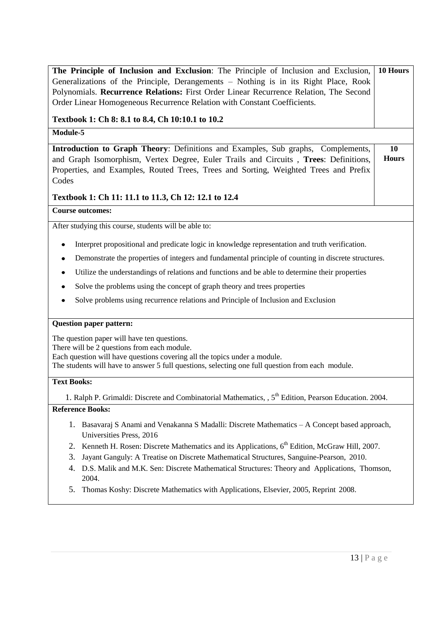| The Principle of Inclusion and Exclusion: The Principle of Inclusion and Exclusion,                               | 10 Hours     |  |
|-------------------------------------------------------------------------------------------------------------------|--------------|--|
| Generalizations of the Principle, Derangements - Nothing is in its Right Place, Rook                              |              |  |
| Polynomials. Recurrence Relations: First Order Linear Recurrence Relation, The Second                             |              |  |
| Order Linear Homogeneous Recurrence Relation with Constant Coefficients.                                          |              |  |
| Textbook 1: Ch 8: 8.1 to 8.4, Ch 10:10.1 to 10.2                                                                  |              |  |
| Module-5                                                                                                          |              |  |
| Introduction to Graph Theory: Definitions and Examples, Sub graphs, Complements,                                  | 10           |  |
| and Graph Isomorphism, Vertex Degree, Euler Trails and Circuits, Trees: Definitions,                              | <b>Hours</b> |  |
| Properties, and Examples, Routed Trees, Trees and Sorting, Weighted Trees and Prefix                              |              |  |
| Codes                                                                                                             |              |  |
| Textbook 1: Ch 11: 11.1 to 11.3, Ch 12: 12.1 to 12.4                                                              |              |  |
| <b>Course outcomes:</b>                                                                                           |              |  |
| After studying this course, students will be able to:                                                             |              |  |
| Interpret propositional and predicate logic in knowledge representation and truth verification.<br>٠              |              |  |
| Demonstrate the properties of integers and fundamental principle of counting in discrete structures.<br>٠         |              |  |
| Utilize the understandings of relations and functions and be able to determine their properties<br>٠              |              |  |
| Solve the problems using the concept of graph theory and trees properties                                         |              |  |
| Solve problems using recurrence relations and Principle of Inclusion and Exclusion                                |              |  |
| <b>Question paper pattern:</b>                                                                                    |              |  |
| The question paper will have ten questions.                                                                       |              |  |
| There will be 2 questions from each module.                                                                       |              |  |
| Each question will have questions covering all the topics under a module.                                         |              |  |
| The students will have to answer 5 full questions, selecting one full question from each module.                  |              |  |
| <b>Text Books:</b>                                                                                                |              |  |
| 1. Ralph P. Grimaldi: Discrete and Combinatorial Mathematics, , 5 <sup>th</sup> Edition, Pearson Education. 2004. |              |  |
| <b>Reference Books:</b>                                                                                           |              |  |
| 1. Basavaraj S Anami and Venakanna S Madalli: Discrete Mathematics – A Concept based approach,                    |              |  |
| Universities Press, 2016                                                                                          |              |  |
| Kenneth H. Rosen: Discrete Mathematics and its Applications, 6 <sup>th</sup> Edition, McGraw Hill, 2007.<br>2.    |              |  |
| 3.<br>Jayant Ganguly: A Treatise on Discrete Mathematical Structures, Sanguine-Pearson, 2010.                     |              |  |
| D.S. Malik and M.K. Sen: Discrete Mathematical Structures: Theory and Applications, Thomson,<br>4.                |              |  |
| 2004.                                                                                                             |              |  |
| Thomas Koshy: Discrete Mathematics with Applications, Elsevier, 2005, Reprint 2008.<br>5.                         |              |  |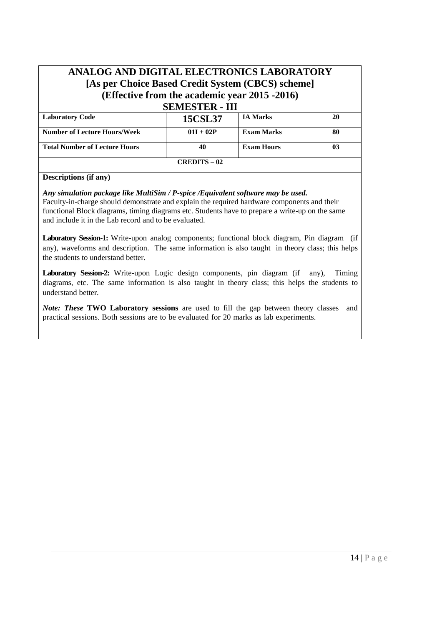# **ANALOG AND DIGITAL ELECTRONICS LABORATORY [As per Choice Based Credit System (CBCS) scheme] (Effective from the academic year 2015 -2016) SEMESTER - III**

| SEMESIEK - 111                       |                     |                   |    |  |
|--------------------------------------|---------------------|-------------------|----|--|
| <b>Laboratory Code</b>               | <b>15CSL37</b>      | <b>IA Marks</b>   | 20 |  |
| <b>Number of Lecture Hours/Week</b>  | $01I + 02P$         | Exam Marks        | 80 |  |
| <b>Total Number of Lecture Hours</b> | 40                  | <b>Exam Hours</b> | 03 |  |
|                                      | <b>CREDITS – 02</b> |                   |    |  |

### **Descriptions (if any)**

# *Any simulation package like MultiSim / P-spice /Equivalent software may be used.*

Faculty-in-charge should demonstrate and explain the required hardware components and their functional Block diagrams, timing diagrams etc. Students have to prepare a write-up on the same and include it in the Lab record and to be evaluated.

**Laboratory Session-1:** Write-upon analog components; functional block diagram, Pin diagram (if any), waveforms and description. The same information is also taught in theory class; this helps the students to understand better.

Laboratory Session-2: Write-upon Logic design components, pin diagram (if any), Timing diagrams, etc. The same information is also taught in theory class; this helps the students to understand better.

*Note: These* **TWO Laboratory sessions** are used to fill the gap between theory classes and practical sessions. Both sessions are to be evaluated for 20 marks as lab experiments.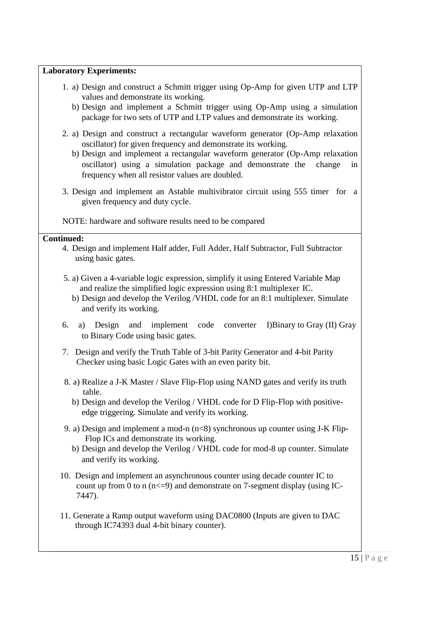# **Laboratory Experiments:**

- 1. a) Design and construct a Schmitt trigger using Op-Amp for given UTP and LTP values and demonstrate its working.
	- b) Design and implement a Schmitt trigger using Op-Amp using a simulation package for two sets of UTP and LTP values and demonstrate its working.
- 2. a) Design and construct a rectangular waveform generator (Op-Amp relaxation oscillator) for given frequency and demonstrate its working.
	- b) Design and implement a rectangular waveform generator (Op-Amp relaxation oscillator) using a simulation package and demonstrate the change in frequency when all resistor values are doubled.
- 3. Design and implement an Astable multivibrator circuit using 555 timer for a given frequency and duty cycle.

NOTE: hardware and software results need to be compared

# **Continued:**

- 4. Design and implement Half adder, Full Adder, Half Subtractor, Full Subtractor using basic gates.
- 5. a) Given a 4-variable logic expression, simplify it using Entered Variable Map and realize the simplified logic expression using 8:1 multiplexer IC.
	- b) Design and develop the Verilog /VHDL code for an 8:1 multiplexer. Simulate and verify its working.
- 6. a) Design and implement code converter I)Binary to Gray (II) Gray to Binary Code using basic gates.
- 7. Design and verify the Truth Table of 3-bit Parity Generator and 4-bit Parity Checker using basic Logic Gates with an even parity bit.
- 8. a) Realize a J-K Master / Slave Flip-Flop using NAND gates and verify its truth table.
	- b) Design and develop the Verilog / VHDL code for D Flip-Flop with positiveedge triggering. Simulate and verify its working.
- 9. a) Design and implement a mod-n  $(n<8)$  synchronous up counter using J-K Flip-Flop ICs and demonstrate its working.
	- b) Design and develop the Verilog / VHDL code for mod-8 up counter. Simulate and verify its working.
- 10. Design and implement an asynchronous counter using decade counter IC to count up from 0 to n  $(n \le 9)$  and demonstrate on 7-segment display (using IC-7447).
- 11. Generate a Ramp output waveform using DAC0800 (Inputs are given to DAC through IC74393 dual 4-bit binary counter).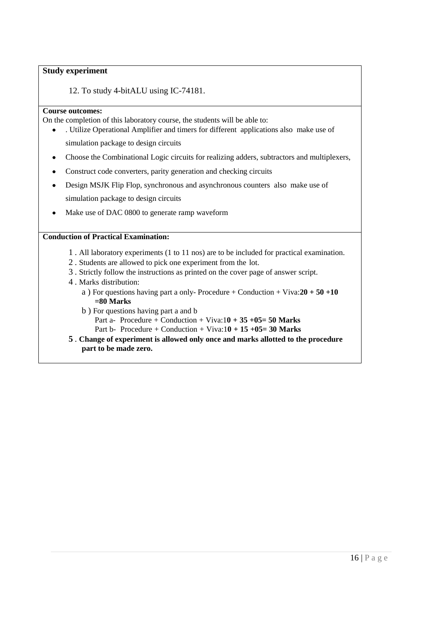### **Study experiment**

12. To study 4-bitALU using IC-74181.

### **Course outcomes:**

On the completion of this laboratory course, the students will be able to:

- . Utilize Operational Amplifier and timers for different applications also make use of simulation package to design circuits
- Choose the Combinational Logic circuits for realizing adders, subtractors and multiplexers,  $\bullet$
- Construct code converters, parity generation and checking circuits  $\bullet$
- Design MSJK Flip Flop, synchronous and asynchronous counters also make use of simulation package to design circuits
- Make use of DAC 0800 to generate ramp waveform

# **Conduction of Practical Examination:**

- 1 . All laboratory experiments (1 to 11 nos) are to be included for practical examination.
- 2 . Students are allowed to pick one experiment from the lot.
- 3 . Strictly follow the instructions as printed on the cover page of answer script.
- 4 . Marks distribution:
	- a ) For questions having part a only- Procedure + Conduction + Viva:**20 + 50 +10 =80 Marks**
	- b ) For questions having part a and b Part a- Procedure + Conduction + Viva:1**0 + 35 +05= 50 Marks** Part b- Procedure + Conduction + Viva:1**0 + 15 +05= 30 Marks**
- **5** . **Change of experiment is allowed only once and marks allotted to the procedure part to be made zero.**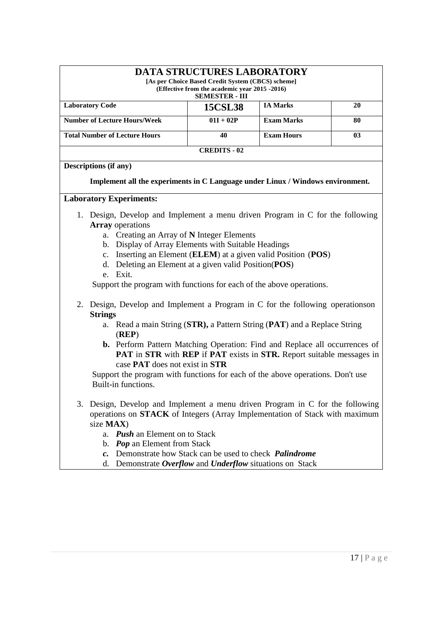| <b>DATA STRUCTURES LABORATORY</b><br>[As per Choice Based Credit System (CBCS) scheme]<br>(Effective from the academic year 2015 -2016)<br><b>SEMESTER - III</b> |                |                   |    |  |
|------------------------------------------------------------------------------------------------------------------------------------------------------------------|----------------|-------------------|----|--|
| <b>Laboratory Code</b>                                                                                                                                           | <b>15CSL38</b> | <b>IA Marks</b>   | 20 |  |
| <b>Number of Lecture Hours/Week</b>                                                                                                                              | $01I + 02P$    | <b>Exam Marks</b> | 80 |  |
| <b>Total Number of Lecture Hours</b>                                                                                                                             | 40             | <b>Exam Hours</b> | 03 |  |
| <b>CREDITS - 02</b>                                                                                                                                              |                |                   |    |  |

### **Descriptions (if any)**

**Implement all the experiments in C Language under Linux / Windows environment.**

### **Laboratory Experiments:**

- 1. Design, Develop and Implement a menu driven Program in C for the following **Array** operations
	- a. Creating an Array of **N** Integer Elements
	- b. Display of Array Elements with Suitable Headings
	- c. Inserting an Element (**ELEM**) at a given valid Position (**POS**)
	- d. Deleting an Element at a given valid Position(**POS**) e. Exit.

Support the program with functions for each of the above operations.

- 2. Design, Develop and Implement a Program in C for the following operationson **Strings**
	- a. Read a main String (**STR),** a Pattern String (**PAT**) and a Replace String (**REP**)
	- **b.** Perform Pattern Matching Operation: Find and Replace all occurrences of **PAT** in **STR** with **REP** if **PAT** exists in **STR.** Report suitable messages in case **PAT** does not exist in **STR**

Support the program with functions for each of the above operations. Don't use Built-in functions.

- 3. Design, Develop and Implement a menu driven Program in C for the following operations on **STACK** of Integers (Array Implementation of Stack with maximum size **MAX**)
	- a. *Push* an Element on to Stack
	- b. *Pop* an Element from Stack
	- *c.* Demonstrate how Stack can be used to check *Palindrome*
	- d. Demonstrate *Overflow* and *Underflow* situations on Stack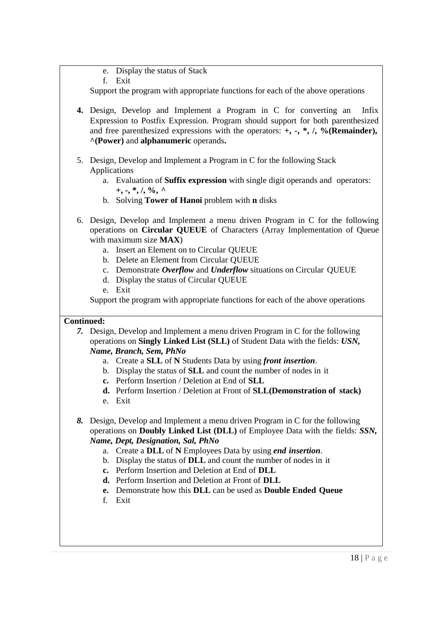e. Display the status of Stack

f. Exit

Support the program with appropriate functions for each of the above operations

- **4.** Design, Develop and Implement a Program in C for converting an Infix Expression to Postfix Expression. Program should support for both parenthesized and free parenthesized expressions with the operators: **+, -, \*, /, %(Remainder), ^(Power)** and **alphanumeric** operands**.**
- 5. Design, Develop and Implement a Program in C for the following Stack Applications
	- a. Evaluation of **Suffix expression** with single digit operands and operators: **+, -, \*, /, %, ^**
	- b. Solving **Tower of Hanoi** problem with **n** disks
- 6. Design, Develop and Implement a menu driven Program in C for the following operations on **Circular QUEUE** of Characters (Array Implementation of Queue with maximum size **MAX**)
	- a. Insert an Element on to Circular QUEUE
	- b. Delete an Element from Circular QUEUE
	- c. Demonstrate *Overflow* and *Underflow* situations on Circular QUEUE
	- d. Display the status of Circular QUEUE
	- e. Exit

Support the program with appropriate functions for each of the above operations

# **Continued:**

*7.* Design, Develop and Implement a menu driven Program in C for the following operations on **Singly Linked List (SLL)** of Student Data with the fields: *USN, Name, Branch, Sem, PhNo*

- a. Create a **SLL** of **N** Students Data by using *front insertion*.
- b. Display the status of **SLL** and count the number of nodes in it
- **c.** Perform Insertion / Deletion at End of **SLL**
- **d.** Perform Insertion / Deletion at Front of **SLL(Demonstration of stack)**
- e. Exit
- *8.* Design, Develop and Implement a menu driven Program in C for the following operations on **Doubly Linked List (DLL)** of Employee Data with the fields: *SSN, Name, Dept, Designation, Sal, PhNo*
	- a. Create a **DLL** of **N** Employees Data by using *end insertion*.
	- b. Display the status of **DLL** and count the number of nodes in it
	- **c.** Perform Insertion and Deletion at End of **DLL**
	- **d.** Perform Insertion and Deletion at Front of **DLL**
	- **e.** Demonstrate how this **DLL** can be used as **Double Ended Queue**
	- f. Exit